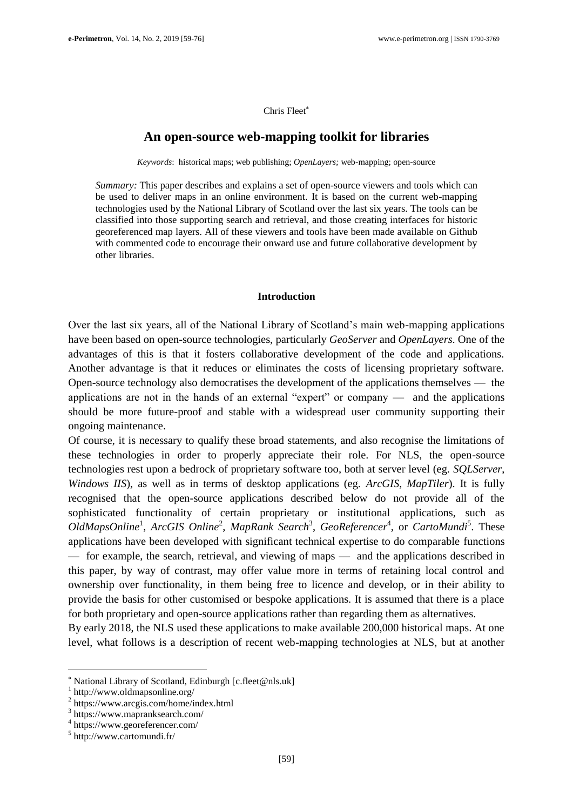Chris Fleet

# **An open-source web-mapping toolkit for libraries**

*Keywords*: historical maps; web publishing; *OpenLayers;* web-mapping; open-source

*Summary:* This paper describes and explains a set of open-source viewers and tools which can be used to deliver maps in an online environment. It is based on the current web-mapping technologies used by the National Library of Scotland over the last six years. The tools can be classified into those supporting search and retrieval, and those creating interfaces for historic georeferenced map layers. All of these viewers and tools have been made available on Github with commented code to encourage their onward use and future collaborative development by other libraries.

#### **Introduction**

Over the last six years, all of the National Library of Scotland's main web-mapping applications have been based on open-source technologies, particularly *GeoServer* and *OpenLayers*. One of the advantages of this is that it fosters collaborative development of the code and applications. Another advantage is that it reduces or eliminates the costs of licensing proprietary software. Open-source technology also democratises the development of the applications themselves — the applications are not in the hands of an external "expert" or company — and the applications should be more future-proof and stable with a widespread user community supporting their ongoing maintenance.

Of course, it is necessary to qualify these broad statements, and also recognise the limitations of these technologies in order to properly appreciate their role. For NLS, the open-source technologies rest upon a bedrock of proprietary software too, both at server level (eg. *SQLServer*, *Windows IIS*), as well as in terms of desktop applications (eg. *ArcGIS*, *MapTiler*). It is fully recognised that the open-source applications described below do not provide all of the sophisticated functionality of certain proprietary or institutional applications, such as OldMapsOnline<sup>1</sup>, ArcGIS Online<sup>2</sup>, MapRank Search<sup>3</sup>, GeoReferencer<sup>4</sup>, or *CartoMundi*<sup>5</sup>. These applications have been developed with significant technical expertise to do comparable functions — for example, the search, retrieval, and viewing of maps — and the applications described in this paper, by way of contrast, may offer value more in terms of retaining local control and ownership over functionality, in them being free to licence and develop, or in their ability to provide the basis for other customised or bespoke applications. It is assumed that there is a place for both proprietary and open-source applications rather than regarding them as alternatives.

By early 2018, the NLS used these applications to make available 200,000 historical maps. At one level, what follows is a description of recent web-mapping technologies at NLS, but at another

National Library of Scotland, Edinburgh [\[c.fleet@nls.uk\]](c.fleet@nls.uk)

<sup>1</sup> <http://www.oldmapsonline.org/>

<sup>2</sup> <https://www.arcgis.com/home/index.html>

<sup>3</sup> <https://www.mapranksearch.com/>

<sup>4</sup> <https://www.georeferencer.com/>

<sup>5</sup> <http://www.cartomundi.fr/>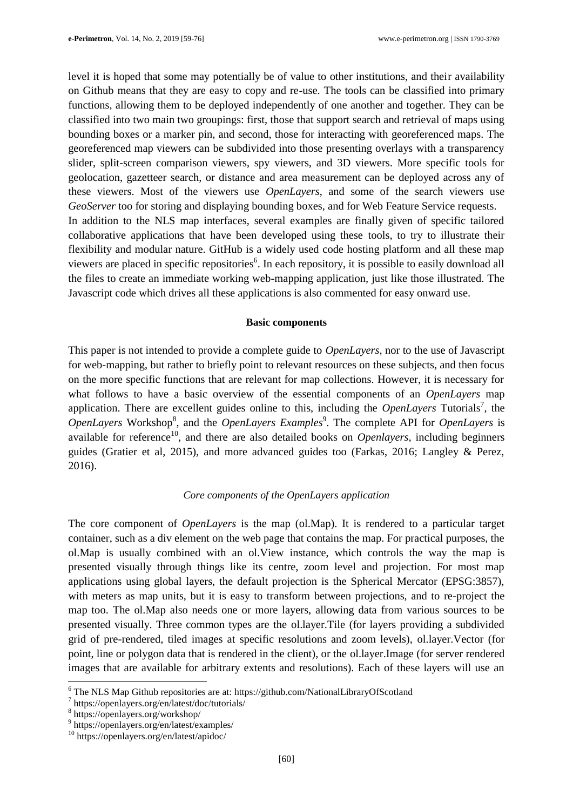level it is hoped that some may potentially be of value to other institutions, and their availability on Github means that they are easy to copy and re-use. The tools can be classified into primary functions, allowing them to be deployed independently of one another and together. They can be classified into two main two groupings: first, those that support search and retrieval of maps using bounding boxes or a marker pin, and second, those for interacting with georeferenced maps. The georeferenced map viewers can be subdivided into those presenting overlays with a transparency slider, split-screen comparison viewers, spy viewers, and 3D viewers. More specific tools for geolocation, gazetteer search, or distance and area measurement can be deployed across any of these viewers. Most of the viewers use *OpenLayers*, and some of the search viewers use *GeoServer* too for storing and displaying bounding boxes, and for Web Feature Service requests. In addition to the NLS map interfaces, several examples are finally given of specific tailored collaborative applications that have been developed using these tools, to try to illustrate their flexibility and modular nature. GitHub is a widely used code hosting platform and all these map viewers are placed in specific repositories<sup>6</sup>. In each repository, it is possible to easily download all the files to create an immediate working web-mapping application, just like those illustrated. The Javascript code which drives all these applications is also commented for easy onward use.

#### **Basic components**

This paper is not intended to provide a complete guide to *OpenLayers*, nor to the use of Javascript for web-mapping, but rather to briefly point to relevant resources on these subjects, and then focus on the more specific functions that are relevant for map collections. However, it is necessary for what follows to have a basic overview of the essential components of an *OpenLayers* map application. There are excellent guides online to this, including the *OpenLayers* Tutorials<sup>7</sup>, the *OpenLayers* Workshop<sup>8</sup>, and the *OpenLayers Examples*<sup>9</sup>. The complete API for *OpenLayers* is available for reference<sup>10</sup>, and there are also detailed books on *Openlayers*, including beginners guides (Gratier et al, 2015), and more advanced guides too (Farkas, 2016; Langley & Perez, 2016).

### *Core components of the OpenLayers application*

The core component of *OpenLayers* is the map (ol.Map). It is rendered to a particular target container, such as a div element on the web page that contains the map. For practical purposes, the ol.Map is usually combined with an ol.View instance, which controls the way the map is presented visually through things like its centre, zoom level and projection. For most map applications using global layers, the default projection is the Spherical Mercator (EPSG:3857), with meters as map units, but it is easy to transform between projections, and to re-project the map too. The ol.Map also needs one or more layers, allowing data from various sources to be presented visually. Three common types are the ol.layer.Tile (for layers providing a subdivided grid of pre-rendered, tiled images at specific resolutions and zoom levels), ol.layer.Vector (for point, line or polygon data that is rendered in the client), or the ol.layer.Image (for server rendered images that are available for arbitrary extents and resolutions). Each of these layers will use an

<sup>6</sup> The NLS Map Github repositories are at:<https://github.com/NationalLibraryOfScotland>

<sup>7</sup> <https://openlayers.org/en/latest/doc/tutorials/>

<sup>8</sup> <https://openlayers.org/workshop/>

<sup>9</sup> <https://openlayers.org/en/latest/examples/>

<sup>10</sup> <https://openlayers.org/en/latest/apidoc/>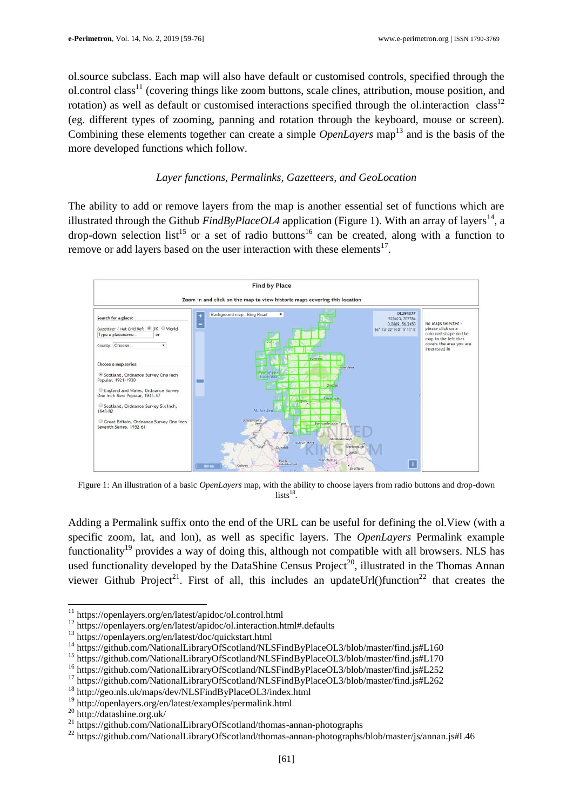ol.source subclass. Each map will also have default or customised controls, specified through the ol.control class<sup>11</sup> (covering things like zoom buttons, scale clines, attribution, mouse position, and rotation) as well as default or customised interactions specified through the ol.interaction class<sup>12</sup> (eg. different types of zooming, panning and rotation through the keyboard, mouse or screen). Combining these elements together can create a simple *OpenLayers* map<sup>13</sup> and is the basis of the more developed functions which follow.

# *Layer functions, Permalinks, Gazetteers, and GeoLocation*

The ability to add or remove layers from the map is another essential set of functions which are illustrated through the Github  $FindByPlaceOLA$  application (Figure 1). With an array of layers<sup>14</sup>, a drop-down selection list<sup>15</sup> or a set of radio buttons<sup>16</sup> can be created, along with a function to remove or add layers based on the user interaction with these elements $^{17}$ .



Figure 1: An illustration of a basic *OpenLayers* map, with the ability to choose layers from radio buttons and drop-down  $lists<sup>18</sup>$ .

Adding a Permalink suffix onto the end of the URL can be useful for defining the ol.View (with a specific zoom, lat, and lon), as well as specific layers. The *OpenLayers* Permalink example functionality<sup>19</sup> provides a way of doing this, although not compatible with all browsers. NLS has used functionality developed by the DataShine Census Project<sup>20</sup>, illustrated in the Thomas Annan viewer Github Project<sup>21</sup>. First of all, this includes an updateUrl()function<sup>22</sup> that creates the

<sup>&</sup>lt;sup>11</sup> <https://openlayers.org/en/latest/apidoc/ol.control.html>

<sup>12</sup> <https://openlayers.org/en/latest/apidoc/ol.interaction.html#.defaults>

<sup>13</sup> <https://openlayers.org/en/latest/doc/quickstart.html>

<sup>&</sup>lt;sup>14</sup> <https://github.com/NationalLibraryOfScotland/NLSFindByPlaceOL3/blob/master/find.js#L160>

<sup>15</sup> <https://github.com/NationalLibraryOfScotland/NLSFindByPlaceOL3/blob/master/find.js#L170>

<sup>16</sup> <https://github.com/NationalLibraryOfScotland/NLSFindByPlaceOL3/blob/master/find.js#L252>

<sup>17</sup> <https://github.com/NationalLibraryOfScotland/NLSFindByPlaceOL3/blob/master/find.js#L262>

<sup>18</sup> <http://geo.nls.uk/maps/dev/NLSFindByPlaceOL3/index.html>

<sup>19</sup> <http://openlayers.org/en/latest/examples/permalink.html>

<sup>20</sup> <http://datashine.org.uk/>

<sup>21</sup> <https://github.com/NationalLibraryOfScotland/thomas-annan-photographs>

<sup>22</sup> <https://github.com/NationalLibraryOfScotland/thomas-annan-photographs/blob/master/js/annan.js#L46>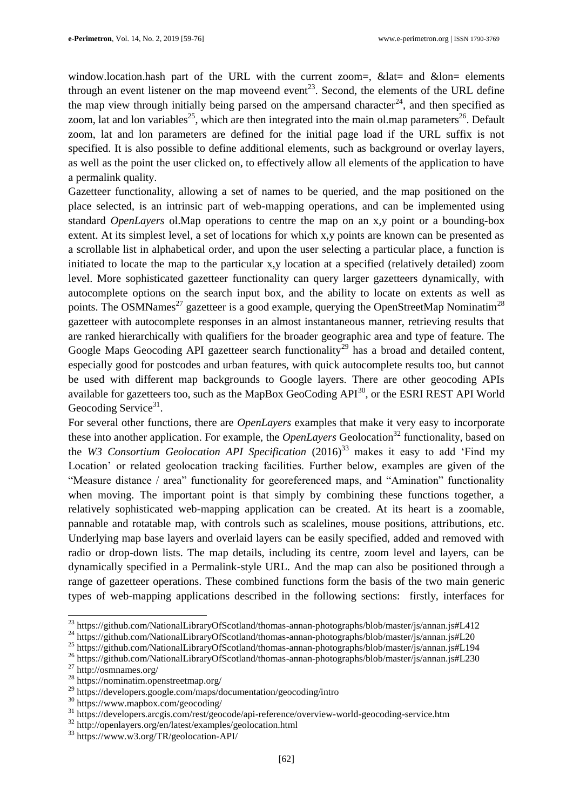window.location.hash part of the URL with the current zoom=, &lat= and &lon= elements through an event listener on the map moveend event<sup>23</sup>. Second, the elements of the URL define the map view through initially being parsed on the ampersand character<sup>24</sup>, and then specified as zoom, lat and lon variables<sup>25</sup>, which are then integrated into the main ol.map parameters<sup>26</sup>. Default zoom, lat and lon parameters are defined for the initial page load if the URL suffix is not specified. It is also possible to define additional elements, such as background or overlay layers, as well as the point the user clicked on, to effectively allow all elements of the application to have a permalink quality.

Gazetteer functionality, allowing a set of names to be queried, and the map positioned on the place selected, is an intrinsic part of web-mapping operations, and can be implemented using standard *OpenLayers* ol.Map operations to centre the map on an x,y point or a bounding-box extent. At its simplest level, a set of locations for which x,y points are known can be presented as a scrollable list in alphabetical order, and upon the user selecting a particular place, a function is initiated to locate the map to the particular x,y location at a specified (relatively detailed) zoom level. More sophisticated gazetteer functionality can query larger gazetteers dynamically, with autocomplete options on the search input box, and the ability to locate on extents as well as points. The OSMNames<sup>27</sup> gazetteer is a good example, querying the OpenStreetMap Nominatim<sup>28</sup> gazetteer with autocomplete responses in an almost instantaneous manner, retrieving results that are ranked hierarchically with qualifiers for the broader geographic area and type of feature. The Google Maps Geocoding API gazetteer search functionality<sup>29</sup> has a broad and detailed content, especially good for postcodes and urban features, with quick autocomplete results too, but cannot be used with different map backgrounds to Google layers. There are other geocoding APIs available for gazetteers too, such as the MapBox GeoCoding API<sup>30</sup>, or the ESRI REST API World Geocoding Service<sup>31</sup>.

For several other functions, there are *OpenLayers* examples that make it very easy to incorporate these into another application. For example, the *OpenLayers* Geolocation<sup>32</sup> functionality, based on the *W3 Consortium Geolocation API Specification* (2016)<sup>33</sup> makes it easy to add 'Find my Location' or related geolocation tracking facilities. Further below, examples are given of the "Measure distance / area" functionality for georeferenced maps, and "Amination" functionality when moving. The important point is that simply by combining these functions together, a relatively sophisticated web-mapping application can be created. At its heart is a zoomable, pannable and rotatable map, with controls such as scalelines, mouse positions, attributions, etc. Underlying map base layers and overlaid layers can be easily specified, added and removed with radio or drop-down lists. The map details, including its centre, zoom level and layers, can be dynamically specified in a Permalink-style URL. And the map can also be positioned through a range of gazetteer operations. These combined functions form the basis of the two main generic types of web-mapping applications described in the following sections: firstly, interfaces for

<sup>&</sup>lt;sup>23</sup> <https://github.com/NationalLibraryOfScotland/thomas-annan-photographs/blob/master/js/annan.js#L412>

<sup>&</sup>lt;sup>24</sup> <https://github.com/NationalLibraryOfScotland/thomas-annan-photographs/blob/master/js/annan.js#L20>

<sup>25</sup> <https://github.com/NationalLibraryOfScotland/thomas-annan-photographs/blob/master/js/annan.js#L194>

<sup>26</sup> <https://github.com/NationalLibraryOfScotland/thomas-annan-photographs/blob/master/js/annan.js#L230>

<sup>27</sup> <http://osmnames.org/>

<sup>28</sup> <https://nominatim.openstreetmap.org/>

<sup>29</sup> <https://developers.google.com/maps/documentation/geocoding/intro>

<sup>30</sup> <https://www.mapbox.com/geocoding/>

<sup>31</sup> <https://developers.arcgis.com/rest/geocode/api-reference/overview-world-geocoding-service.htm>

<sup>32</sup> <http://openlayers.org/en/latest/examples/geolocation.html>

<sup>33</sup> <https://www.w3.org/TR/geolocation-API/>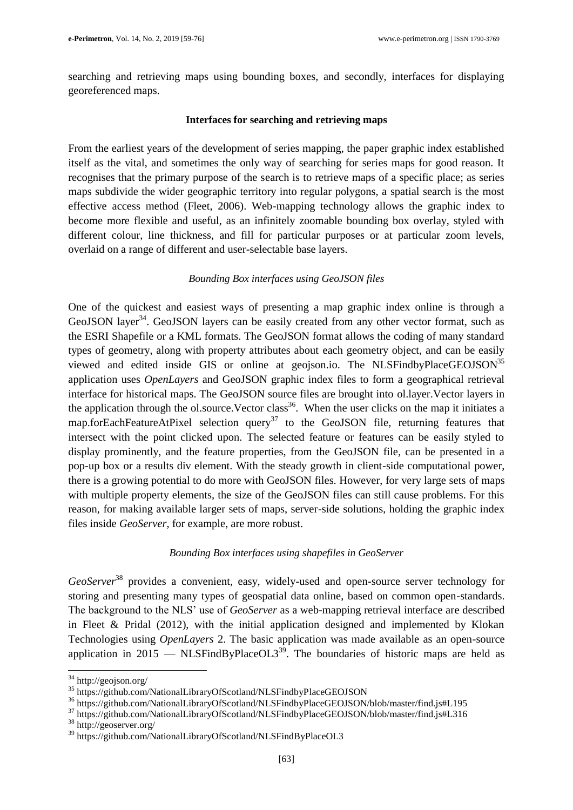searching and retrieving maps using bounding boxes, and secondly, interfaces for displaying georeferenced maps.

### **Interfaces for searching and retrieving maps**

From the earliest years of the development of series mapping, the paper graphic index established itself as the vital, and sometimes the only way of searching for series maps for good reason. It recognises that the primary purpose of the search is to retrieve maps of a specific place; as series maps subdivide the wider geographic territory into regular polygons, a spatial search is the most effective access method (Fleet, 2006). Web-mapping technology allows the graphic index to become more flexible and useful, as an infinitely zoomable bounding box overlay, styled with different colour, line thickness, and fill for particular purposes or at particular zoom levels, overlaid on a range of different and user-selectable base layers.

# *Bounding Box interfaces using GeoJSON files*

One of the quickest and easiest ways of presenting a map graphic index online is through a GeoJSON layer<sup>34</sup>. GeoJSON layers can be easily created from any other vector format, such as the ESRI Shapefile or a KML formats. The GeoJSON format allows the coding of many standard types of geometry, along with property attributes about each geometry object, and can be easily viewed and edited inside GIS or online at [geojson.io.](http://geojson.io/) The NLSFindbyPlaceGEOJSON<sup>35</sup> application uses *OpenLayers* and GeoJSON graphic index files to form a geographical retrieval interface for historical maps. The GeoJSON source files are brought into ol.layer.Vector layers in the application through the ol.source. Vector class<sup>36</sup>. When the user clicks on the map it initiates a map.forEachFeatureAtPixel selection query<sup>37</sup> to the GeoJSON file, returning features that intersect with the point clicked upon. The selected feature or features can be easily styled to display prominently, and the feature properties, from the GeoJSON file, can be presented in a pop-up box or a results div element. With the steady growth in client-side computational power, there is a growing potential to do more with GeoJSON files. However, for very large sets of maps with multiple property elements, the size of the GeoJSON files can still cause problems. For this reason, for making available larger sets of maps, server-side solutions, holding the graphic index files inside *GeoServer*, for example, are more robust.

# *Bounding Box interfaces using shapefiles in GeoServer*

*GeoServer*<sup>38</sup> provides a convenient, easy, widely-used and open-source server technology for storing and presenting many types of geospatial data online, based on common open-standards. The background to the NLS' use of *GeoServer* as a web-mapping retrieval interface are described in Fleet & Pridal (2012), with the initial application designed and implemented by Klokan Technologies using *OpenLayers* 2. The basic application was made available as an open-source application in 2015 — NLSFindByPlaceOL3<sup>39</sup>. The boundaries of historic maps are held as

 $\overline{a}$ 

<sup>38</sup> <http://geoserver.org/>

<sup>&</sup>lt;sup>34</sup> <http://geojson.org/>

<sup>&</sup>lt;sup>35</sup> <https://github.com/NationalLibraryOfScotland/NLSFindbyPlaceGEOJSON>

<sup>36</sup> <https://github.com/NationalLibraryOfScotland/NLSFindbyPlaceGEOJSON/blob/master/find.js#L195>

<sup>37</sup> <https://github.com/NationalLibraryOfScotland/NLSFindbyPlaceGEOJSON/blob/master/find.js#L316>

<sup>39</sup> <https://github.com/NationalLibraryOfScotland/NLSFindByPlaceOL3>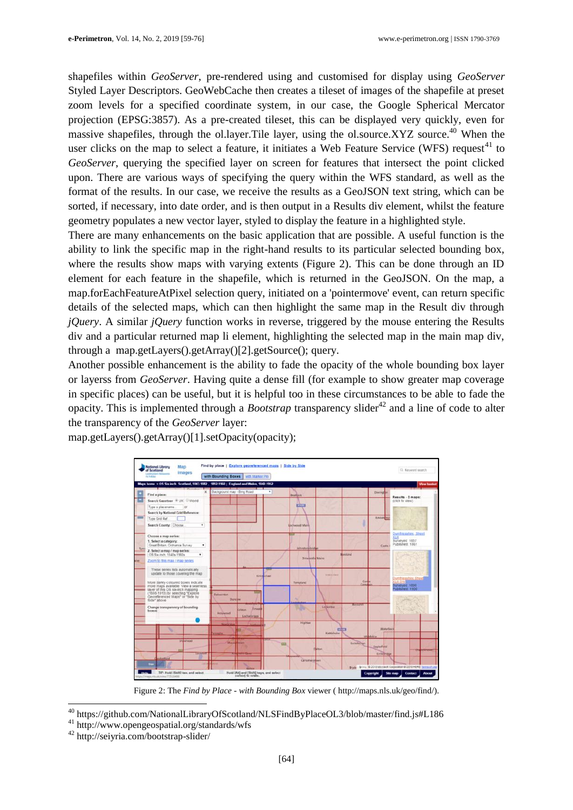shapefiles within *GeoServer*, pre-rendered using and customised for display using *GeoServer* Styled Layer Descriptors. GeoWebCache then creates a tileset of images of the shapefile at preset zoom levels for a specified coordinate system, in our case, the Google Spherical Mercator projection (EPSG:3857). As a pre-created tileset, this can be displayed very quickly, even for massive shapefiles, through the ol.layer. Tile layer, using the ol.source. XYZ source.<sup>40</sup> When the user clicks on the map to select a feature, it initiates a Web Feature Service (WFS) request<sup>41</sup> to *GeoServer*, querying the specified layer on screen for features that intersect the point clicked upon. There are various ways of specifying the query within the WFS standard, as well as the format of the results. In our case, we receive the results as a GeoJSON text string, which can be sorted, if necessary, into date order, and is then output in a Results div element, whilst the feature geometry populates a new vector layer, styled to display the feature in a highlighted style.

There are many enhancements on the basic application that are possible. A useful function is the ability to link the specific map in the right-hand results to its particular selected bounding box, where the results show maps with varying extents (Figure 2). This can be done through an ID element for each feature in the shapefile, which is returned in the GeoJSON. On the map, a map.forEachFeatureAtPixel selection query, initiated on a 'pointermove' event, can return specific details of the selected maps, which can then highlight the same map in the Result div through *jQuery*. A similar *jQuery* function works in reverse, triggered by the mouse entering the Results div and a particular returned map li element, highlighting the selected map in the main map div, through a map.getLayers().getArray()[2].getSource(); query.

Another possible enhancement is the ability to fade the opacity of the whole bounding box layer or layerss from *GeoServer*. Having quite a dense fill (for example to show greater map coverage in specific places) can be useful, but it is helpful too in these circumstances to be able to fade the opacity. This is implemented through a *Bootstrap* transparency slider<sup>42</sup> and a line of code to alter the transparency of the *GeoServer* layer:



map.getLayers().getArray()[1].setOpacity(opacity);

Figure 2: The *Find by Place - with Bounding Box* viewer [\( http://maps.nls.uk/geo/find/\)](http://maps.nls.uk/geo/find/).

<sup>40</sup> <https://github.com/NationalLibraryOfScotland/NLSFindByPlaceOL3/blob/master/find.js#L186>

<sup>41</sup> <http://www.opengeospatial.org/standards/wfs>

<sup>42</sup> <http://seiyria.com/bootstrap-slider/>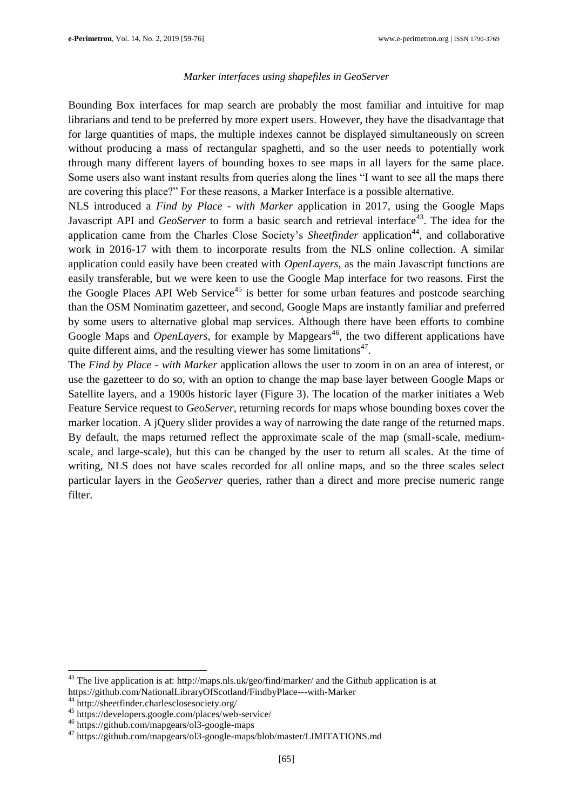### *Marker interfaces using shapefiles in GeoServer*

Bounding Box interfaces for map search are probably the most familiar and intuitive for map librarians and tend to be preferred by more expert users. However, they have the disadvantage that for large quantities of maps, the multiple indexes cannot be displayed simultaneously on screen without producing a mass of rectangular spaghetti, and so the user needs to potentially work through many different layers of bounding boxes to see maps in all layers for the same place. Some users also want instant results from queries along the lines "I want to see all the maps there are covering this place?" For these reasons, a Marker Interface is a possible alternative.

NLS introduced a *Find by Place - with Marker* application in 2017, using the Google Maps Javascript API and *GeoServer* to form a basic search and retrieval interface<sup>43</sup>. The idea for the application came from the Charles Close Society's *Sheetfinder* application<sup>44</sup>, and collaborative work in 2016-17 with them to incorporate results from the NLS online collection. A similar application could easily have been created with *OpenLayers*, as the main Javascript functions are easily transferable, but we were keen to use the Google Map interface for two reasons. First the the Google Places API Web Service<sup>45</sup> is better for some urban features and postcode searching than the OSM Nominatim gazetteer, and second, Google Maps are instantly familiar and preferred by some users to alternative global map services. Although there have been efforts to combine Google Maps and *OpenLayers*, for example by Mapgears<sup>46</sup>, the two different applications have quite different aims, and the resulting viewer has some limitations $47$ .

The *Find by Place - with Marker* application allows the user to zoom in on an area of interest, or use the gazetteer to do so, with an option to change the map base layer between Google Maps or Satellite layers, and a 1900s historic layer (Figure 3). The location of the marker initiates a Web Feature Service request to *GeoServer*, returning records for maps whose bounding boxes cover the marker location. A jQuery slider provides a way of narrowing the date range of the returned maps. By default, the maps returned reflect the approximate scale of the map (small-scale, mediumscale, and large-scale), but this can be changed by the user to return all scales. At the time of writing, NLS does not have scales recorded for all online maps, and so the three scales select particular layers in the *GeoServer* queries, rather than a direct and more precise numeric range filter.

<sup>&</sup>lt;sup>43</sup> The live application is at:<http://maps.nls.uk/geo/find/marker/> and the Github application is at <https://github.com/NationalLibraryOfScotland/FindbyPlace---with-Marker>

<sup>44</sup> <http://sheetfinder.charlesclosesociety.org/>

<sup>45</sup> <https://developers.google.com/places/web-service/>

<sup>46</sup> <https://github.com/mapgears/ol3-google-maps>

<sup>&</sup>lt;sup>47</sup> <https://github.com/mapgears/ol3-google-maps/blob/master/LIMITATIONS.md>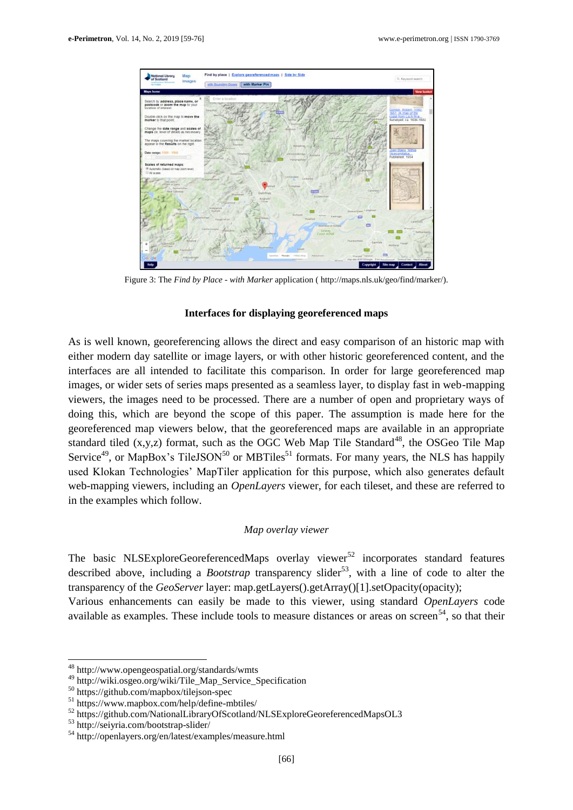

Figure 3: The *Find by Place - with Marker* application [\( http://maps.nls.uk/geo/find/marker/\)](http://maps.nls.uk/geo/find/marker/).

### **Interfaces for displaying georeferenced maps**

As is well known, georeferencing allows the direct and easy comparison of an historic map with either modern day satellite or image layers, or with other historic georeferenced content, and the interfaces are all intended to facilitate this comparison. In order for large georeferenced map images, or wider sets of series maps presented as a seamless layer, to display fast in web-mapping viewers, the images need to be processed. There are a number of open and proprietary ways of doing this, which are beyond the scope of this paper. The assumption is made here for the georeferenced map viewers below, that the georeferenced maps are available in an appropriate standard tiled  $(x,y,z)$  format, such as the OGC Web Map Tile Standard<sup>48</sup>, the OSGeo Tile Map Service<sup>49</sup>, or MapBox's TileJSON<sup>50</sup> or MBTiles<sup>51</sup> formats. For many years, the NLS has happily used Klokan Technologies' MapTiler application for this purpose, which also generates default web-mapping viewers, including an *OpenLayers* viewer, for each tileset, and these are referred to in the examples which follow.

# *Map overlay viewer*

The basic NLSExploreGeoreferencedMaps overlay viewer<sup>52</sup> incorporates standard features described above, including a *Bootstrap* transparency slider<sup>53</sup>, with a line of code to alter the transparency of the *GeoServer* layer: map.getLayers().getArray()[1].setOpacity(opacity);

Various enhancements can easily be made to this viewer, using standard *OpenLayers* code available as examples. These include tools to measure distances or areas on screen<sup>54</sup>, so that their

<sup>&</sup>lt;sup>48</sup> <http://www.opengeospatial.org/standards/wmts>

<sup>&</sup>lt;sup>49</sup> [http://wiki.osgeo.org/wiki/Tile\\_Map\\_Service\\_Specification](http://wiki.osgeo.org/wiki/Tile_Map_Service_Specification)

<sup>50</sup> <https://github.com/mapbox/tilejson-spec>

<sup>51</sup> <https://www.mapbox.com/help/define-mbtiles/>

<sup>52</sup> <https://github.com/NationalLibraryOfScotland/NLSExploreGeoreferencedMapsOL3>

<sup>53</sup> <http://seiyria.com/bootstrap-slider/>

<sup>54</sup> <http://openlayers.org/en/latest/examples/measure.html>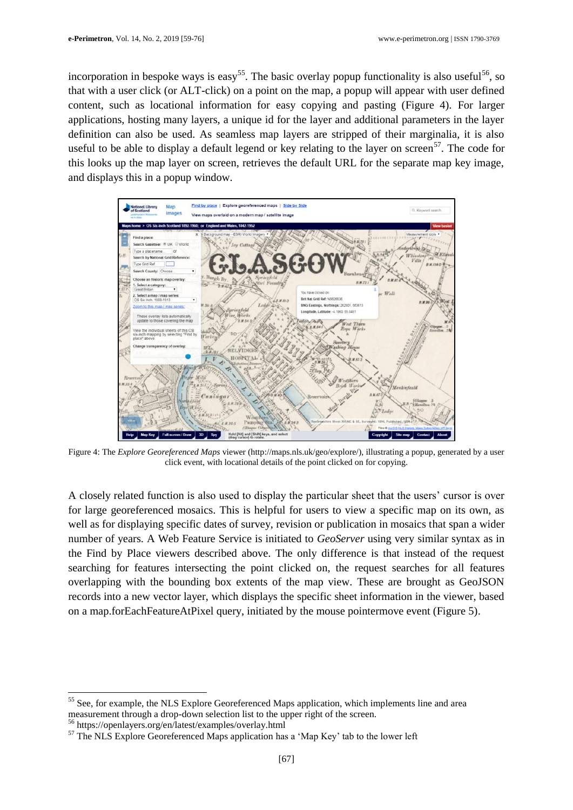incorporation in bespoke ways is easy<sup>55</sup>. The basic overlay popup functionality is also useful<sup>56</sup>, so that with a user click (or ALT-click) on a point on the map, a popup will appear with user defined content, such as locational information for easy copying and pasting (Figure 4). For larger applications, hosting many layers, a unique id for the layer and additional parameters in the layer definition can also be used. As seamless map layers are stripped of their marginalia, it is also useful to be able to display a default legend or key relating to the layer on screen<sup>57</sup>. The code for this looks up the map layer on screen, retrieves the default URL for the separate map key image, and displays this in a popup window.



Figure 4: The *Explore Georeferenced Maps* viewer [\(http://maps.nls.uk/geo/explore/\)](http://maps.nls.uk/geo/explore/), illustrating a popup, generated by a user click event, with locational details of the point clicked on for copying.

A closely related function is also used to display the particular sheet that the users' cursor is over for large georeferenced mosaics. This is helpful for users to view a specific map on its own, as well as for displaying specific dates of survey, revision or publication in mosaics that span a wider number of years. A Web Feature Service is initiated to *GeoServer* using very similar syntax as in the Find by Place viewers described above. The only difference is that instead of the request searching for features intersecting the point clicked on, the request searches for all features overlapping with the bounding box extents of the map view. These are brought as GeoJSON records into a new vector layer, which displays the specific sheet information in the viewer, based on a map.forEachFeatureAtPixel query, initiated by the mouse pointermove event (Figure 5).

<sup>56</sup> <https://openlayers.org/en/latest/examples/overlay.html>

<sup>&</sup>lt;sup>55</sup> See, for example, the [NLS Explore Georeferenced Maps application,](http://maps.nls.uk/geo/explore/) which implements line and area measurement through a drop-down selection list to the upper right of the screen.

<sup>&</sup>lt;sup>57</sup> The [NLS Explore Georeferenced Maps application](http://maps.nls.uk/geo/explore/) has a 'Map Key' tab to the lower left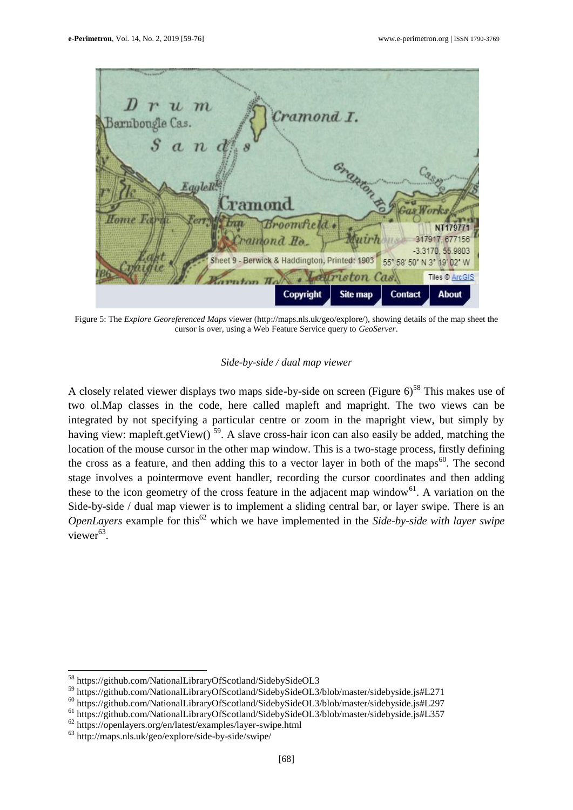

Figure 5: The *Explore Georeferenced Maps* viewer [\(http://maps.nls.uk/geo/explore/\)](http://maps.nls.uk/geo/explore/), showing details of the map sheet the cursor is over, using a Web Feature Service query to *GeoServer*.

### *Side-by-side / dual map viewer*

A closely related viewer displays two maps side-by-side on screen (Figure  $6$ )<sup>58</sup> This makes use of two ol.Map classes in the code, here called mapleft and mapright. The two views can be integrated by not specifying a particular centre or zoom in the mapright view, but simply by having view: mapleft.getView()<sup>59</sup>. A slave cross-hair icon can also easily be added, matching the location of the mouse cursor in the other map window. This is a two-stage process, firstly defining the cross as a feature, and then adding this to a vector layer in both of the maps<sup>60</sup>. The second stage involves a pointermove event handler, recording the cursor coordinates and then adding these to the icon geometry of the cross feature in the adjacent map window<sup>61</sup>. A variation on the Side-by-side / dual map viewer is to implement a sliding central bar, or layer swipe. There is an *OpenLayers* example for this<sup>62</sup> which we have implemented in the *Side-by-side with layer swipe* viewer<sup>63</sup>.

<sup>&</sup>lt;sup>58</sup> <https://github.com/NationalLibraryOfScotland/SidebySideOL3>

<sup>59</sup> <https://github.com/NationalLibraryOfScotland/SidebySideOL3/blob/master/sidebyside.js#L271>

<sup>60</sup> <https://github.com/NationalLibraryOfScotland/SidebySideOL3/blob/master/sidebyside.js#L297>

<sup>61</sup> <https://github.com/NationalLibraryOfScotland/SidebySideOL3/blob/master/sidebyside.js#L357>

<sup>62</sup> <https://openlayers.org/en/latest/examples/layer-swipe.html>

<sup>63</sup> <http://maps.nls.uk/geo/explore/side-by-side/swipe/>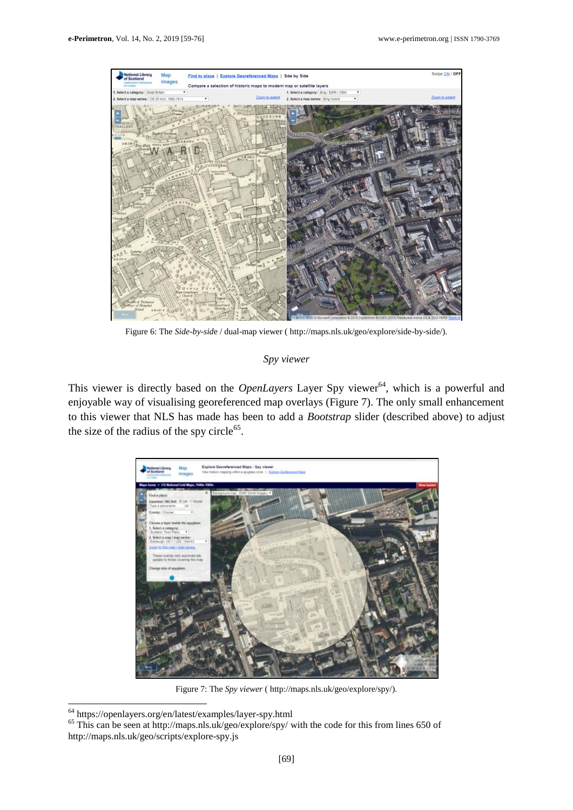

Figure 6: The *Side-by-sid*e / dual-map viewer ( [http://maps.nls.uk/geo/explore/side-by-side/\)](http://maps.nls.uk/geo/explore/side-by-side/).

### *Spy viewer*

This viewer is directly based on the *OpenLayers* Layer Spy viewer<sup>64</sup>, which is a powerful and enjoyable way of visualising georeferenced map overlays (Figure 7). The only small enhancement to this viewer that NLS has made has been to add a *Bootstrap* slider (described above) to adjust the size of the radius of the spy circle<sup>65</sup>.



Figure 7: The *Spy viewer* [\( http://maps.nls.uk/geo/explore/spy/\)](http://maps.nls.uk/geo/explore/spy/).

<sup>64</sup> <https://openlayers.org/en/latest/examples/layer-spy.html>

<sup>&</sup>lt;sup>65</sup> This can be seen at<http://maps.nls.uk/geo/explore/spy/> with the code for this from lines 650 of <http://maps.nls.uk/geo/scripts/explore-spy.js>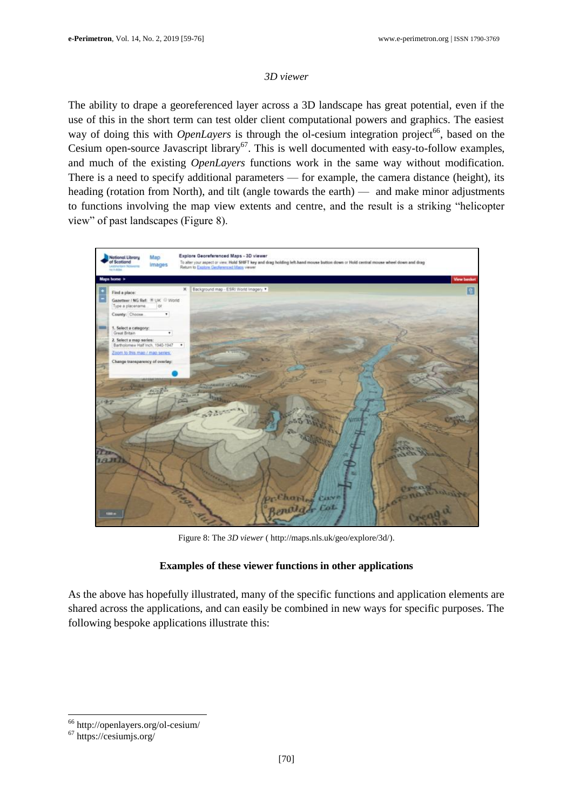# *3D viewer*

The ability to drape a georeferenced layer across a 3D landscape has great potential, even if the use of this in the short term can test older client computational powers and graphics. The easiest way of doing this with *OpenLayers* is through the ol-cesium integration project<sup>66</sup>, based on the Cesium open-source Javascript library<sup>67</sup>. This is well documented with easy-to-follow examples, and much of the existing *OpenLayers* functions work in the same way without modification. There is a need to specify additional parameters — for example, the camera distance (height), its heading (rotation from North), and tilt (angle towards the earth) — and make minor adjustments to functions involving the map view extents and centre, and the result is a striking "helicopter view" of past landscapes (Figure 8).



Figure 8: The *3D viewer* [\( http://maps.nls.uk/geo/explore/3d/\)](http://maps.nls.uk/geo/explore/3d/).

# **Examples of these viewer functions in other applications**

As the above has hopefully illustrated, many of the specific functions and application elements are shared across the applications, and can easily be combined in new ways for specific purposes. The following bespoke applications illustrate this:

<sup>66</sup> <http://openlayers.org/ol-cesium/>

 $67$  <https://cesiumjs.org/>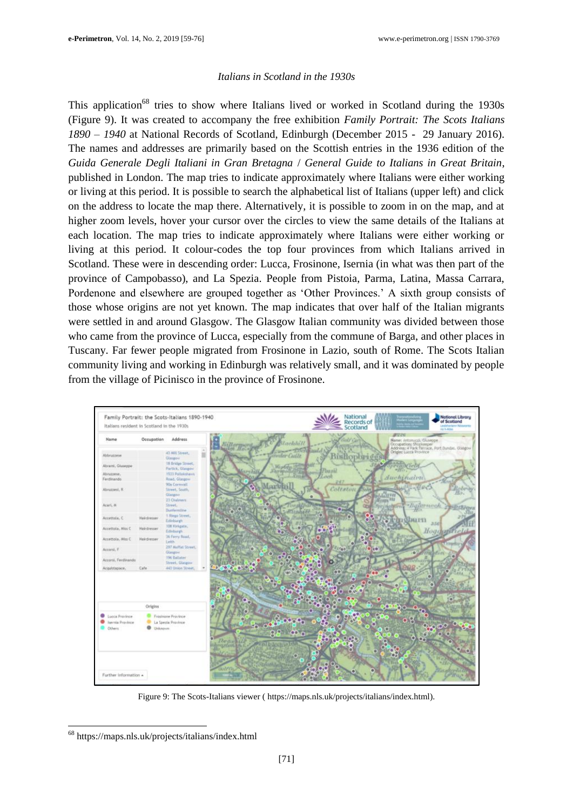# *Italians in Scotland in the 1930s*

This application<sup>68</sup> tries to show where Italians lived or worked in Scotland during the  $1930s$ (Figure 9). It was created to accompany the free exhibition *Family Portrait: The Scots Italians 1890 – 1940* at National Records of Scotland, Edinburgh (December 2015 - 29 January 2016). The names and addresses are primarily based on the Scottish entries in the 1936 edition of the *Guida Generale Degli Italiani in Gran Bretagna* / *General Guide to Italians in Great Britain*, published in London. The map tries to indicate approximately where Italians were either working or living at this period. It is possible to search the alphabetical list of Italians (upper left) and click on the address to locate the map there. Alternatively, it is possible to zoom in on the map, and at higher zoom levels, hover your cursor over the circles to view the same details of the Italians at each location. The map tries to indicate approximately where Italians were either working or living at this period. It colour-codes the top four provinces from which Italians arrived in Scotland. These were in descending order: Lucca, Frosinone, Isernia (in what was then part of the province of Campobasso), and La Spezia. People from Pistoia, Parma, Latina, Massa Carrara, Pordenone and elsewhere are grouped together as 'Other Provinces.' A sixth group consists of those whose origins are not yet known. The map indicates that over half of the Italian migrants were settled in and around Glasgow. The Glasgow Italian community was divided between those who came from the province of Lucca, especially from the commune of Barga, and other places in Tuscany. Far fewer people migrated from Frosinone in Lazio, south of Rome. The Scots Italian community living and working in Edinburgh was relatively small, and it was dominated by people from the village of Picinisco in the province of Frosinone.



Figure 9: The Scots-Italians viewer ( [https://maps.nls.uk/projects/italians/index.html\)](https://maps.nls.uk/projects/italians/index.html).

<sup>68</sup> <https://maps.nls.uk/projects/italians/index.html>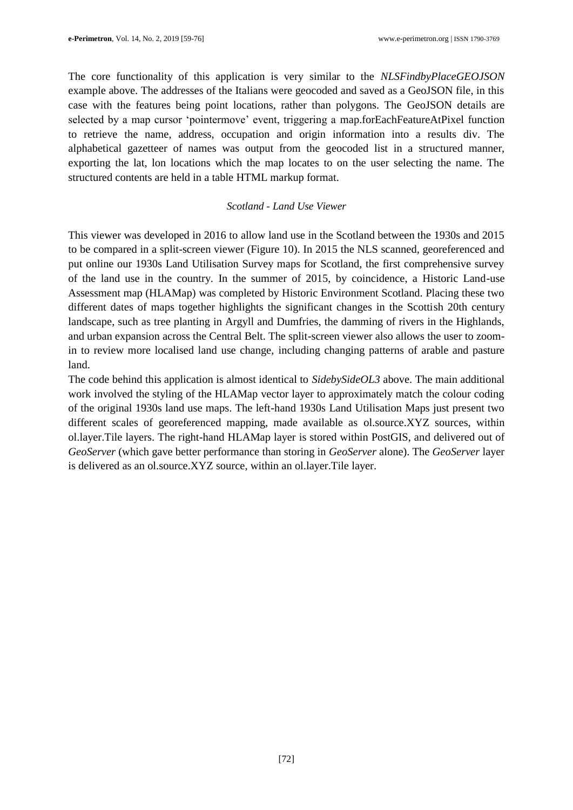The core functionality of this application is very similar to the *NLSFindbyPlaceGEOJSON*  example above. The addresses of the Italians were geocoded and saved as a GeoJSON file, in this case with the features being point locations, rather than polygons. The GeoJSON details are selected by a map cursor 'pointermove' event, triggering a map.forEachFeatureAtPixel function to retrieve the name, address, occupation and origin information into a results div. The alphabetical gazetteer of names was output from the geocoded list in a structured manner, exporting the lat, lon locations which the map locates to on the user selecting the name. The structured contents are held in a table HTML markup format.

## *Scotland - Land Use Viewer*

This viewer was developed in 2016 to allow land use in the Scotland between the 1930s and 2015 to be compared in a split-screen viewer (Figure 10). In 2015 the NLS scanned, georeferenced and put online our 1930s Land Utilisation Survey maps for Scotland, the first comprehensive survey of the land use in the country. In the summer of 2015, by coincidence, a Historic Land-use Assessment map (HLAMap) was completed by Historic Environment Scotland. Placing these two different dates of maps together highlights the significant changes in the Scottish 20th century landscape, such as tree planting in Argyll and Dumfries, the damming of rivers in the Highlands, and urban expansion across the Central Belt. The split-screen viewer also allows the user to zoomin to review more localised land use change, including changing patterns of arable and pasture land.

The code behind this application is almost identical to *SidebySideOL3* above. The main additional work involved the styling of the HLAMap vector layer to approximately match the colour coding of the original 1930s land use maps. The left-hand 1930s Land Utilisation Maps just present two different scales of georeferenced mapping, made available as ol.source.XYZ sources, within ol.layer.Tile layers. The right-hand HLAMap layer is stored within PostGIS, and delivered out of *GeoServer* (which gave better performance than storing in *GeoServer* alone). The *GeoServer* layer is delivered as an ol.source.XYZ source, within an ol.layer.Tile layer.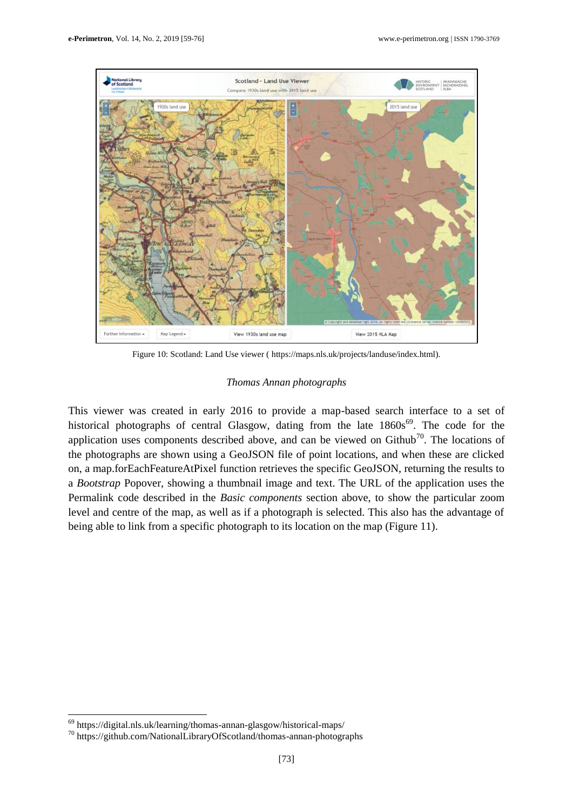

Figure 10: Scotland: Land Use viewer ( [https://maps.nls.uk/projects/landuse/index.html\)](https://maps.nls.uk/projects/landuse/index.html).

# *Thomas Annan photographs*

This viewer was created in early 2016 to provide a map-based search interface to a set of historical photographs of central Glasgow, dating from the late  $1860s^{69}$ . The code for the application uses components described above, and can be viewed on Github<sup>70</sup>. The locations of the photographs are shown using a GeoJSON file of point locations, and when these are clicked on, a map.forEachFeatureAtPixel function retrieves the specific GeoJSON, returning the results to a *Bootstrap* Popover, showing a thumbnail image and text. The URL of the application uses the Permalink code described in the *Basic components* section above, to show the particular zoom level and centre of the map, as well as if a photograph is selected. This also has the advantage of being able to link from a specific photograph to its location on the map (Figure 11).

 $\overline{a}$ <sup>69</sup> <https://digital.nls.uk/learning/thomas-annan-glasgow/historical-maps/>

<sup>70</sup> <https://github.com/NationalLibraryOfScotland/thomas-annan-photographs>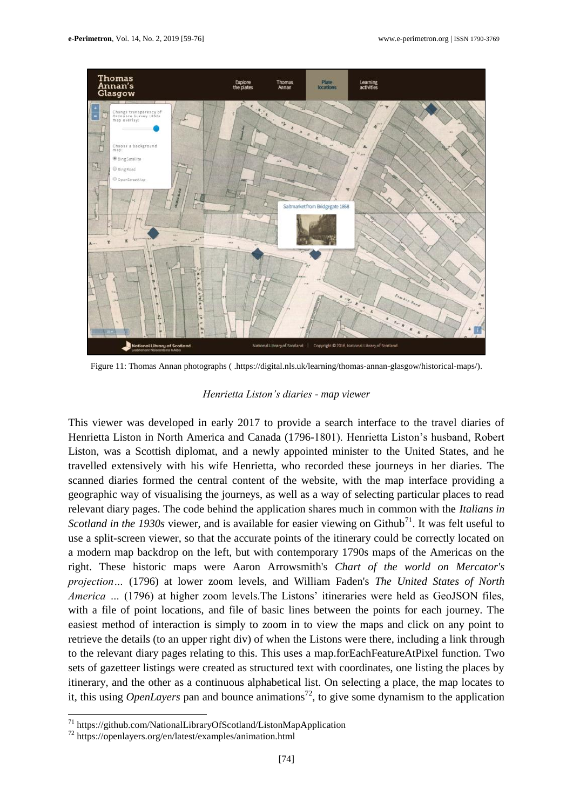

Figure 11: Thomas Annan photographs ( .https://digital.nls.uk/learning/thomas-annan-glasgow/historical-maps/).

#### *Henrietta Liston's diaries - map viewer*

This viewer was developed in early 2017 to provide a search interface to the travel diaries of Henrietta Liston in North America and Canada (1796-1801). Henrietta Liston's husband, Robert Liston, was a Scottish diplomat, and a newly appointed minister to the United States, and he travelled extensively with his wife Henrietta, who recorded these journeys in her diaries. The scanned diaries formed the central content of the website, with the map interface providing a geographic way of visualising the journeys, as well as a way of selecting particular places to read relevant diary pages. The code behind the application shares much in common with the *Italians in Scotland in the 1930s* viewer, and is available for easier viewing on Github<sup>71</sup>. It was felt useful to use a split-screen viewer, so that the accurate points of the itinerary could be correctly located on a modern map backdrop on the left, but with contemporary 1790s maps of the Americas on the right. These historic maps were Aaron Arrowsmith's *Chart of the world on Mercator's projection…* (1796) at lower zoom levels, and William Faden's *The United States of North America …* (1796) at higher zoom levels.The Listons' itineraries were held as GeoJSON files, with a file of point locations, and file of basic lines between the points for each journey. The easiest method of interaction is simply to zoom in to view the maps and click on any point to retrieve the details (to an upper right div) of when the Listons were there, including a link through to the relevant diary pages relating to this. This uses a map.forEachFeatureAtPixel function. Two sets of gazetteer listings were created as structured text with coordinates, one listing the places by itinerary, and the other as a continuous alphabetical list. On selecting a place, the map locates to it, this using *OpenLayers* pan and bounce animations<sup>72</sup>, to give some dynamism to the application

<sup>&</sup>lt;sup>71</sup> <https://github.com/NationalLibraryOfScotland/ListonMapApplication>

<sup>72</sup> <https://openlayers.org/en/latest/examples/animation.html>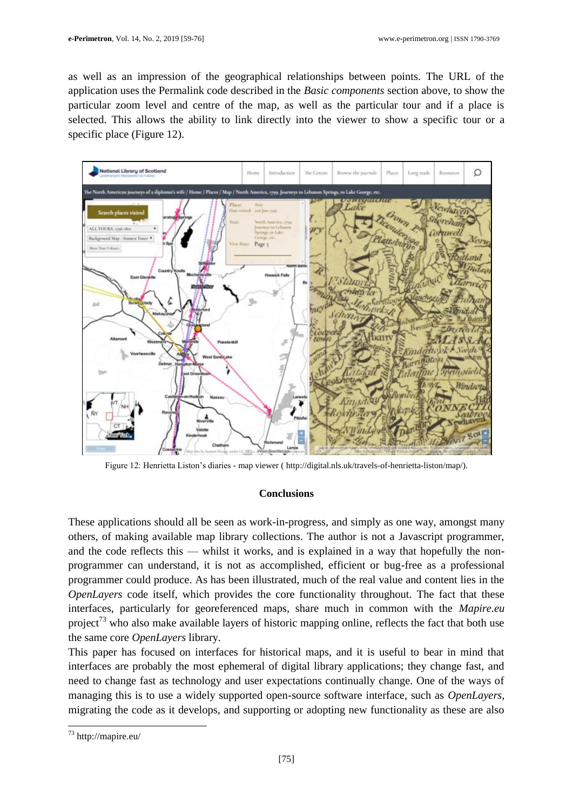as well as an impression of the geographical relationships between points. The URL of the application uses the Permalink code described in the *Basic components* section above, to show the particular zoom level and centre of the map, as well as the particular tour and if a place is selected. This allows the ability to link directly into the viewer to show a specific tour or a specific place (Figure 12).



Figure 12: Henrietta Liston's diaries - map viewer [\( http://digital.nls.uk/travels-of-henrietta-liston/map/\)](http://digital.nls.uk/travels-of-henrietta-liston/map/).

### **Conclusions**

These applications should all be seen as work-in-progress, and simply as one way, amongst many others, of making available map library collections. The author is not a Javascript programmer, and the code reflects this — whilst it works, and is explained in a way that hopefully the nonprogrammer can understand, it is not as accomplished, efficient or bug-free as a professional programmer could produce. As has been illustrated, much of the real value and content lies in the *OpenLayers* code itself, which provides the core functionality throughout. The fact that these interfaces, particularly for georeferenced maps, share much in common with the *Mapire.eu* project<sup>73</sup> who also make available layers of historic mapping online, reflects the fact that both use the same core *OpenLayers* library.

This paper has focused on interfaces for historical maps, and it is useful to bear in mind that interfaces are probably the most ephemeral of digital library applications; they change fast, and need to change fast as technology and user expectations continually change. One of the ways of managing this is to use a widely supported open-source software interface, such as *OpenLayers*, migrating the code as it develops, and supporting or adopting new functionality as these are also

 <sup>73</sup> <http://mapire.eu/>